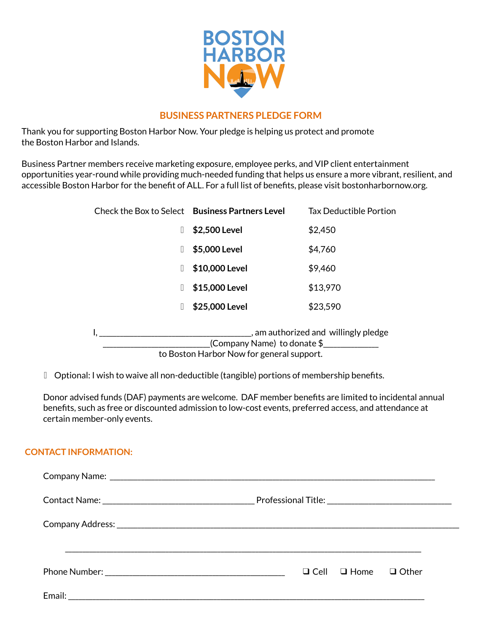

## **BUSINESS PARTNERS PLEDGE FORM**

Thank you for supporting Boston Harbor Now. Your pledge is helping us protect and promote the Boston Harbor and Islands.

Business Partner members receive marketing exposure, employee perks, and VIP client entertainment opportunities year-round while providing much-needed funding that helps us ensure a more vibrant, resilient, and accessible Boston Harbor for the benefit of ALL. For a full list of benefits, please visit bostonharbornow.org.

|   | Check the Box to Select Business Partners Level                              | <b>Tax Deductible Portion</b> |
|---|------------------------------------------------------------------------------|-------------------------------|
| Ш | \$2,500 Level                                                                | \$2,450                       |
| Ш | \$5,000 Level                                                                | \$4,760                       |
| Ш | \$10,000 Level                                                               | \$9,460                       |
| П | \$15,000 Level                                                               | \$13,970                      |
| П | \$25,000 Level                                                               | \$23,590                      |
|   | am authorized and willingly pledge<br>(Company Name) to donate $\frac{1}{2}$ |                               |

to Boston Harbor Now for general support.

▯ Optional: I wish to waive all non-deductible (tangible) portions of membership benefits.

Donor advised funds (DAF) payments are welcome. DAF member benefits are limited to incidental annual benefits, such as free or discounted admission to low-cost events, preferred access, and attendance at certain member-only events.

## **CONTACT INFORMATION:**

| $\Box$ Cell $\Box$ Home<br>$\Box$ Other |  |  |
|-----------------------------------------|--|--|
|                                         |  |  |